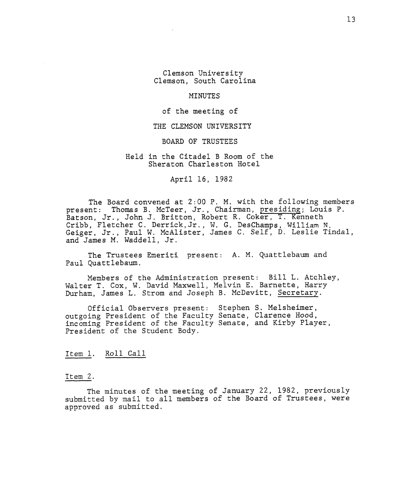Clemson University Clemson, South Carolina

#### MINUTES

#### of the meeting of

# THE CLEMSON UNIVERSITY

BOARD OF TRUSTEES

# Held in the Citadel B Room of the Sheraton Charleston Hotel

April 16, **1982** 

The Board convened at **2:00** P. M. with the following members present: Thomas B. McTeer, Jr., Chairman, presiding; Louis P.<br>Batson, Jr., John J. Britton, Robert R. Coker, T. Kenneth Batson, Jr., John J. Britton, Robert R. Coker, T. Kenneth Cribb, Fletcher C. Derrick, Jr., W. G. DesChamps, William N. Geiger, Jr., Paul W. McAlister, James C. Self, D. Leslie Tindal, and James M. Waddell, Jr.

The Trustees Emeriti present: **A.** M. Quattlebaum and Paul Quattlebaum.

Members of the Administration present: Bill L. Atchley, Walter T. Cox, W. David Maxwell, Melvin E. Barnette, Harry Durham, James L. Strom and Joseph B. McDevitt, Secretary.

Official Observers present: Stephen S. Melsheimer, outgoing President of the Faculty Senate, Clarence Hood, incoming President of the Faculty Senate, and Kirby Player, President of the Student Body.

#### Item I. Roll Call

#### Item 2.

The minutes of the meeting of January **22, 1982,** previously submitted by mail to all members of the Board or' Trustees, were approved as submitted.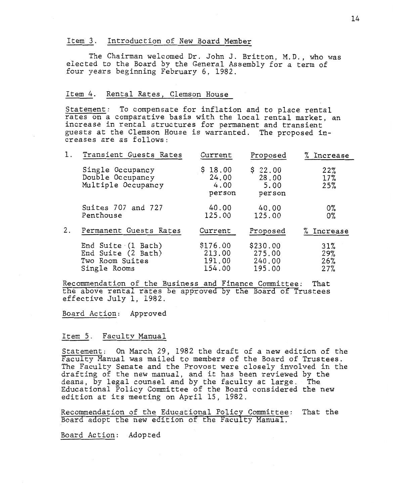# Item 3. Introduction of New Board Member

The Chairman welcomed Dr. John J. Britton, M.D., who was elected to the Board by the General Assembly for a term of four years beginning February 6, 1982.

# Item *4.* Rental Rates, Clemson House

Statement: To compensate for inflation and to place rental rates on a comparative basis with the local rental market, an increase in rental structures for permanent and transient guests at the Clemson House is warranted. The proposed increases are as follows:

| 1. | Transient Guests Rates                                                      | Current                                | Proposed                               | Increase                 |
|----|-----------------------------------------------------------------------------|----------------------------------------|----------------------------------------|--------------------------|
|    | Single Occupancy<br>Double Occupancy<br>Multiple Occupancy                  | \$18.00<br>24.00<br>4.00<br>person     | \$22.00<br>28.00<br>5.00<br>person     | 22%<br>17%<br>25%        |
|    | Suites 707 and 727<br>Penthouse                                             | 40.00<br>125.00                        | 40.00<br>125.00                        | 0%<br>0%                 |
| 2. | Permanent Guests Rates                                                      | Current                                | Proposed                               | Increase                 |
|    | End Suite (1 Bath)<br>End Suite (2 Bath)<br>Two Room Suites<br>Single Rooms | \$176.00<br>213.00<br>191.00<br>154.00 | \$230.00<br>275.00<br>240.00<br>195.00 | 31%<br>29%<br>26%<br>27% |

Recommendation of the Business and Finance Committee: That the above rental rates be approved by the Board of Trustees effective July 1, 1982.

Board Action: Approved

# Item 5. Faculty Manual

Statement: On March 29, 1982 the draft of a new edition of the Faculty Manual was mailed to members of the Board of Trustees. The Faculty Senate and the Provost were closely involved in the drafting of the new manual, and it has been reviewed by the deans, by legal counsel and by the faculty at large. The deans, by legal counsel and by the faculty at large. Educational Policy Committee of the Board considered the new edition at its meeting on April 15, 1982.

Recommendation of the Educational Policy Committee: That the Board adopt the new edition of the Faculty Manual.

Board Action: Adopted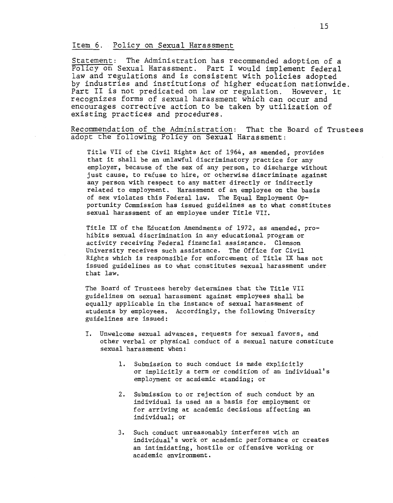# **Item 6. Policy on Sexual Harassment**

**Statement: The Administration has recommended adoption of a Policy on Sexual Harassment. Part I would implement federal law and regulations and is consistent with policies adopted by industries and institutions of higher education nationwide. Part I1 is not predicated on law or regulation. However, it recognizes forms of sexual harassment which can occur and encourages corrective action to be taken by utilization of existing practices and procedures.** 

**Recommendation of the Administration: That the Board of Trustees adopt the tollowing Policy on Sexual Harassment:** 

Title VII of the Civil Rights Act of 1964, as amended, provides that it shall be an unlawful discriminatory practice for any employer, because of the sex of any person, to discharge without just cause, to refuse to hire, or otherwise discriminate against any person with respect to any matter directly or indirectly related to employment. Harassment of an employee on the basis of sex violates this Federal law. The Equal Employment Opportunity Commission has issued guidelines as to what constitutes sexual harassment of an employee under Title VII.

Title IX of the Education Amendments of 1972, as amended, prohibits sexual discrimination in any educational program or activity receiving Federal financial assistance, Clemson University receives such assistance. The Office for Civil Rights which is responsible for enforcement of Title IX has not issued guidelines as to what constitutes sexual harassment under that law.

The Board of Trustees hereby determines that the Title VII guidelines on sexual harassment against employees shall be equally applicable in the instance of sexual harassment of students by employees. Accordingly, the following University guidelines are issued :

- I. Unwelcome sexual advances, requests for sexual favors, and other verbal or physical conduct of a sexual nature constitute sexual harassment when :
	- 1. Submission to such conduct is made explicitly or implicitly a term or condition of an individual's employment or academic standing; or
	- 2. Submission to or rejection of such conduct by an individual is used as a basis for employment or for arriving at academic decisions affecting an individual; or
	- *3.* Such conduct unreasonably interferes with an individual's work or academic performance or creates an intimidating, hostile or offensive working or acad emic environment .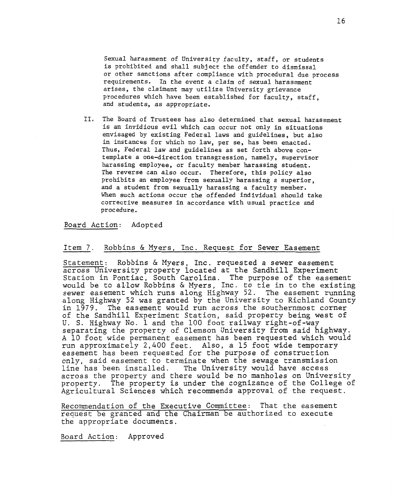Sexual harassment of University faculty, staff, or students is prohibited and shall subject the offender to dismissal or other sanctions after compliance with procedural due process requirements. In the event a claim of sexual harassment arises, the claimant may utilize University grievance procedures which have been established for faculty, staff, and students, as appropriate.

**11.** The Board of Trustees has also determined that sexual harassment is an invidious evil which can occur not only in situations envisaged by existing Federal laws and guidelines, but also in instances for which no law, per se, has been enacted. Thus, Federal law and guidelines as set forth above contemplate a one-direction transgression, namely, supervisor harassing employee, or faculty member harassing student. The reverse can also occur. Therefore, this policy also prohibits an employee from sexually harassing a superior, and a student from sexually harassing a faculty member. When such actions occur the offended individual should take corrective measures in accordance with usual practice and procedure.

#### Board Action: Adopted

# Item *7.* Robbins & Myers, Inc. Request for Sewer Easement

Statement: Robbins & Myers, Ine. requested a sewer easement across University property located at the Sandhill Experiment Station in Pontiac, South Carolina. The purpose of the easement would be to allow Robbins & Myers, Inc. to tie in to the existing sewer easement which runs along Highway 52. The easement running along Highway 52 was granted by the University to Richland County<br>in 1979. The easement would run across the southernmost corner The easement would run across the southernmost corner of the Sandhill Experiment Station, said property being west of U. S. Highway No. 1 and the **100** foot railway right-of-way separating the property of Clemson University from said highway. A 10 foot wide permanent easement has been requested which would run approximately *2,400* feet. Also, a 15 foot wide temporary easement has been requested for the purpose of construction only, said easement to terminate when the sewage transmission line has been installed. The University would have access across the property and there would be no manholes on University property. The property is under the cognizance of the College of Agricultural Sciences which recommends approval of the request.

Recommendation of the Executive Committee: That the easement request be granted and the Chairman be authorized to execute the appropriate documents.

Board Action: Approved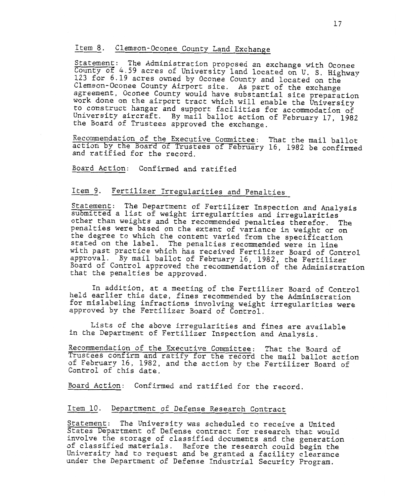# Item 8. Clemson-Oconee County Land Exchange

Statement: The Administration proposed an exchange with Oconee County of 4.59 acres of University land located on U. S. Highway 123 for 6.19 acres owned by Oconee County and located on the Clemson-Oconee County Airport site. As part of the exchange agreement, Oconee County would have substantial site preparation work done on the airport tract which will enable the University to construct hangar and support facilities for accommodation of University aircraft. By mail ballot action of February 17, 1982 the Board of Trustees approved the exchange.

Recommendation of the Executive Committee: That the mail ballot action by the Board of Trustees of February 16, 1982 be confirmed and ratified for the record.

Board Action: Confirmed and ratified

# Item 9. Fertilizer Irregularities and Penalties

Statement: The Department of Fertilizer Inspection and Analysis submitted a list of weight irregularities and irregularities other than weights and the recommended penalties therefor. The penalties were based on the extent of variance in weight or on the degree to which the content varied from the specification stated on the label. The penalties recommended were in line with past practice which has received Fertilizer Board of Control approval. By mail ballot of February 16, 1982, the Fertilizer Board of Control approved the recommendation of the Administration that the penalties be approved.

In addition, at a meeting of the Fertilizer Board of Control held earlier this date, fines recommended by the Administration for mislabeling infractions involving weight irregularities were approved by the Fertilizer Board of Control.

Lists of the above irregularities and fines are available in the Department of Fertilizer Inspection and Analysis.

Recommendation of the Executive Committee: That the Board of Trustees confirm and ratify for the record the mail ballot action of February 16, 1982, and the action by the Fertilizer Board of Control of this date.

Board Action: Confirmed and ratified for the record.

# Item 19. Department of Defense Research Contract

Statement: The University was scheduled to receive a United States Department of Defense contract for research that would involve the storage of classified documents and the generation of classified materials. Before the research could begin the University had to request and be granted a facility clearance under the Department of Defense Industrial Security Program.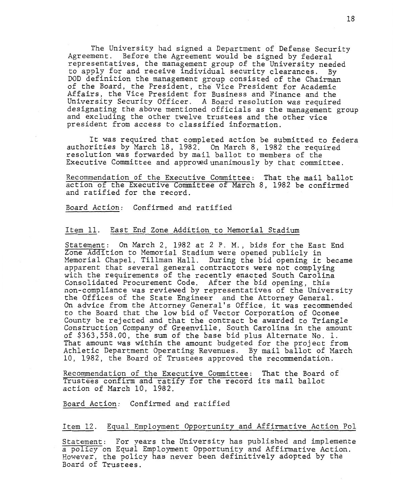The University had signed a Department of Defense Security Agreement. Before the Agreement would be signed by federal representatives, the management group of the University needed to apply for and receive individual security clearances. By DOD definition the management group consisted of the Chairman of the Board, the President, the Vice President for Academic Affairs, the Vice President for Business and Finance and the University Security Officer. A Board resolution was required designating the above mentioned officials as the management group and excluding the other twelve trustees and the other vice president from access to classified information.

It was required that completed action be submitted to federa authorities by March 18, 1982. On March 8, 1982 the required resolution was forwarded by mail ballot to members of the Executive Committee and approxedunanimously by that committee.

Recommendation of the Executive Committee: That the mail ballot action of the Executive Committee of March 8, 1982 be confirmed and ratified for the record.

Board Action: Confirmed and ratified

## Item 11. East End Zone Addition to Memorial Stadium

Statement: On March 2, 1982 at 2 P. M., bids for the East End Zone Addition to Memorial Stadium were opened publicly in Memorial Chapel, Tillman Hall. During the bid opening it became apparent that several general contractors were not complying with the requirements of the recently enacted South Carolina Consolidated Procurement Code. After the bid opening, this non-compliance was reviewed by representatives of the University the Offices of the State Engineer and the Attorney General. On advice from the Attorney General's Office, it was recommended to the Board that the low bid of Vector Corporation of Oconee County be rejected and that the contract be awarded to Triangle Construction Company of Greenville, South Carolina in the amount of [\\$363,558.00](https://363,558.00), the sum of the base bid plus Alternate No. 1. That amount was within the amount budgeted for the project from Athletic Department Operating Revenues. By mail ballot of March 10, 1982, the Board of Trustees approved the recommendation.

Recommendation of the Executive Committee: That the Board of Trustees coniirm and ratify for the record its mail ballot action of March 10, 1982.

Board Action: Confirmed and ratified

# Item 12. Equal Employment Opportunity and Affirmative Action Pol

Statement: For years the University has published and implemente a policy on Equal Employment Opportunity and Affirmative Action. Eowever, the policy has never been definitively adopted by the Board of Trustees.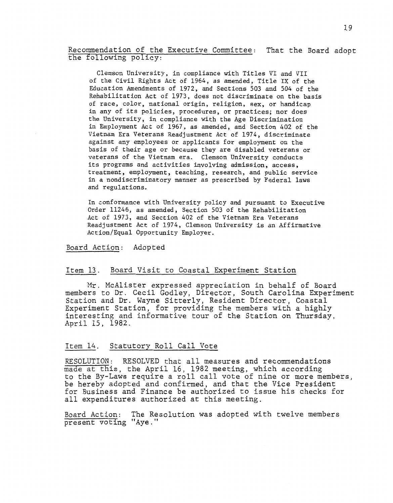Recommendation of the Executive Committee: That the Board adopt the following policy:

Clemson University, in compliance with Titles VI and VII of the Civil Rights Act of 1964, as amended, Title IX of the Education Amendments of 1972, and Sections *503* and 504 of the Rehabilitation Act of 1973, does not discriminate on the basis of race, color, national origin, religion, sex, or handicap in any of its policies, procedures, or practices; nor does the University, in compliance with the Age Discrimination in Employment Act of 1967, as amended, and Section 402 of the Vietnam Era Veterans Readjustment Act of 1974, discriminate against any employees or applicants for employment on the basis of their age or because they are disabled veterans or veterans of the Vietnam era. Clemson University conducts its programs and activities involving admission, access, treatment, employment, teaching, research, and public service in a nondiscriminatory manner as prescribed by Federal laws and regulations.

In conformance with University policy and pursuant to Executive Order 11246, as amended, Section 503 of the Rehabilitation Act of 1973, and Section 402 of the Vietnam Era Veterans Readjustment Act of 1974, Clemson University is an Affirmative Action/Equal Opportunity Employer.

Board Action: Adopted

## Item 13. Board Visit to Coastal Experiment Station

Mr. McAlister expressed appreciation in behalf of Board members to Dr. Cecil Godley, Director, South Carolina Experiment Station and Dr. Wayne Sitterly, Resident Director, Coastal Experiment Station, for providing the members with a highly interesting and informative tour of the Station on Thursday, April 15, 1982.

# Item 14. Statutory Roll Call Vote

RESOLUTION: RESOLVED that all measures and recommendations made at this, the April 16, 1982 meeting, which according to the By-Laws require a roll call vote of nine or more members, be hereby adopted and confirmed, and that the Vice President for Business and Finance be authorized to issue his checks for all expenditures authorized at this meeting.

Board Action: The Resolution was adopted with twelve members present voting "Aye."